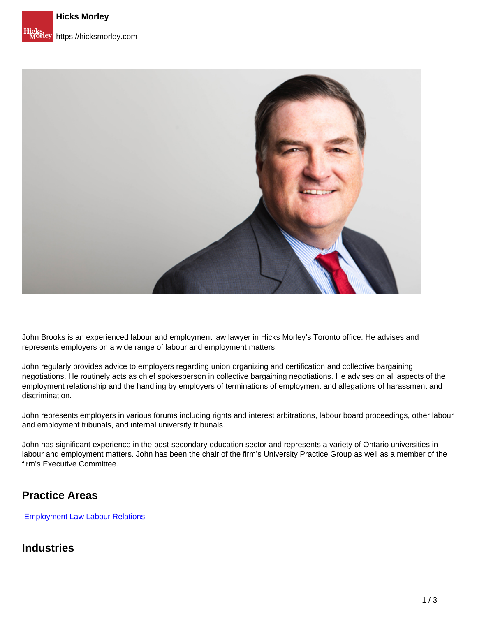

John Brooks is an experienced labour and employment law lawyer in Hicks Morley's Toronto office. He advises and represents employers on a wide range of labour and employment matters.

John regularly provides advice to employers regarding union organizing and certification and collective bargaining negotiations. He routinely acts as chief spokesperson in collective bargaining negotiations. He advises on all aspects of the employment relationship and the handling by employers of terminations of employment and allegations of harassment and discrimination.

John represents employers in various forums including rights and interest arbitrations, labour board proceedings, other labour and employment tribunals, and internal university tribunals.

John has significant experience in the post-secondary education sector and represents a variety of Ontario universities in labour and employment matters. John has been the chair of the firm's University Practice Group as well as a member of the firm's Executive Committee.

## **Practice Areas**

[Employment Law](https://hicksmorley.com/expertise/employment-law) Labour Relations

#### **Industries**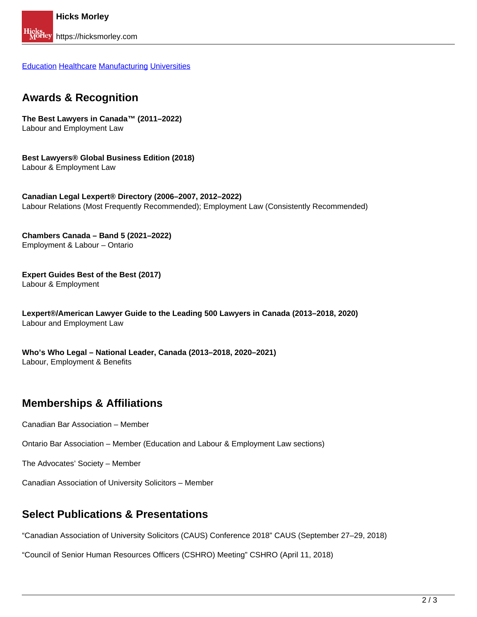Education Healthcare Manufacturing Universities

#### **Awards & Recognition**

**The Best Lawyers in Canada™ (2011–2022)** Labour and Employment Law

**Best Lawyers® Global Business Edition (2018)** Labour & Employment Law

**Canadian Legal Lexpert® Directory (2006–2007, 2012–2022)** Labour Relations (Most Frequently Recommended); Employment Law (Consistently Recommended)

**Chambers Canada – Band 5 (2021–2022)** Employment & Labour – Ontario

**Expert Guides Best of the Best (2017)** Labour & Employment

**Lexpert®/American Lawyer Guide to the Leading 500 Lawyers in Canada (2013–2018, 2020)**  Labour and Employment Law

**Who's Who Legal – National Leader, Canada (2013–2018, 2020–2021)** Labour, Employment & Benefits

## **Memberships & Affiliations**

Canadian Bar Association – Member

Ontario Bar Association – Member (Education and Labour & Employment Law sections)

The Advocates' Society – Member

Canadian Association of University Solicitors – Member

#### **Select Publications & Presentations**

"Canadian Association of University Solicitors (CAUS) Conference 2018" CAUS (September 27–29, 2018)

"Council of Senior Human Resources Officers (CSHRO) Meeting" CSHRO (April 11, 2018)